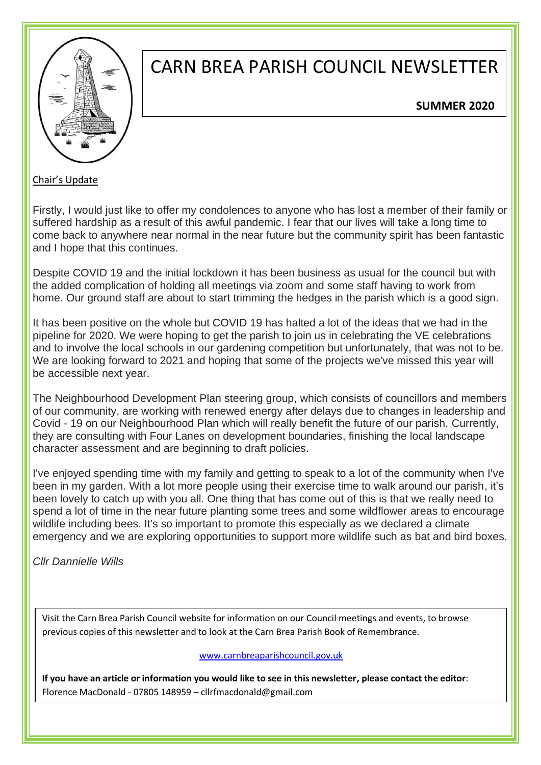

## CARN BREA PARISH COUNCIL NEWSLETTER

#### **SUMMER 2020**

Chair's Update

Firstly, I would just like to offer my condolences to anyone who has lost a member of their family or suffered hardship as a result of this awful pandemic. I fear that our lives will take a long time to come back to anywhere near normal in the near future but the community spirit has been fantastic and I hope that this continues.

Despite COVID 19 and the initial lockdown it has been business as usual for the council but with the added complication of holding all meetings via zoom and some staff having to work from home. Our ground staff are about to start trimming the hedges in the parish which is a good sign.

It has been positive on the whole but COVID 19 has halted a lot of the ideas that we had in the pipeline for 2020. We were hoping to get the parish to join us in celebrating the VE celebrations and to involve the local schools in our gardening competition but unfortunately, that was not to be. We are looking forward to 2021 and hoping that some of the projects we've missed this year will be accessible next year.

The Neighbourhood Development Plan steering group, which consists of councillors and members of our community, are working with renewed energy after delays due to changes in leadership and Covid - 19 on our Neighbourhood Plan which will really benefit the future of our parish. Currently, they are consulting with Four Lanes on development boundaries, finishing the local landscape character assessment and are beginning to draft policies.

I've enjoyed spending time with my family and getting to speak to a lot of the community when I've been in my garden. With a lot more people using their exercise time to walk around our parish, it's been lovely to catch up with you all. One thing that has come out of this is that we really need to spend a lot of time in the near future planting some trees and some wildflower areas to encourage wildlife including bees. It's so important to promote this especially as we declared a climate emergency and we are exploring opportunities to support more wildlife such as bat and bird boxes.

*Cllr Dannielle Wills*

Visit the Carn Brea Parish Council website for information on our Council meetings and events, to browse previous copies of this newsletter and to look at the Carn Brea Parish Book of Remembrance.

#### [www.carnbreaparishcouncil.gov.uk](http://www.carnbreaparishcouncil.gov.uk/)

**If you have an article or information you would like to see in this newsletter, please contact the editor**: Florence MacDonald - 07805 148959 – cllrfmacdonald@gmail.com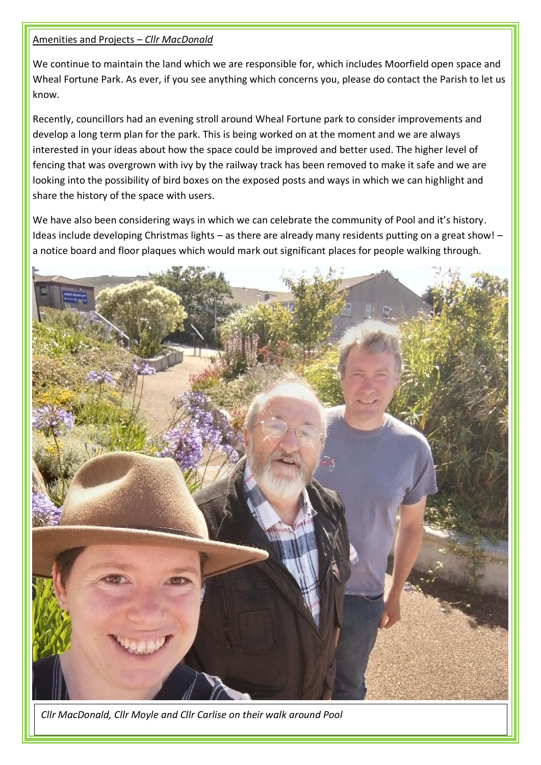#### Amenities and Projects – *Cllr MacDonald*

We continue to maintain the land which we are responsible for, which includes Moorfield open space and Wheal Fortune Park. As ever, if you see anything which concerns you, please do contact the Parish to let us know.

Recently, councillors had an evening stroll around Wheal Fortune park to consider improvements and develop a long term plan for the park. This is being worked on at the moment and we are always interested in your ideas about how the space could be improved and better used. The higher level of fencing that was overgrown with ivy by the railway track has been removed to make it safe and we are looking into the possibility of bird boxes on the exposed posts and ways in which we can highlight and share the history of the space with users.

We have also been considering ways in which we can celebrate the community of Pool and it's history. Ideas include developing Christmas lights – as there are already many residents putting on a great show! – a notice board and floor plaques which would mark out significant places for people walking through.



*Cllr MacDonald, Cllr Moyle and Cllr Carlise on their walk around Pool*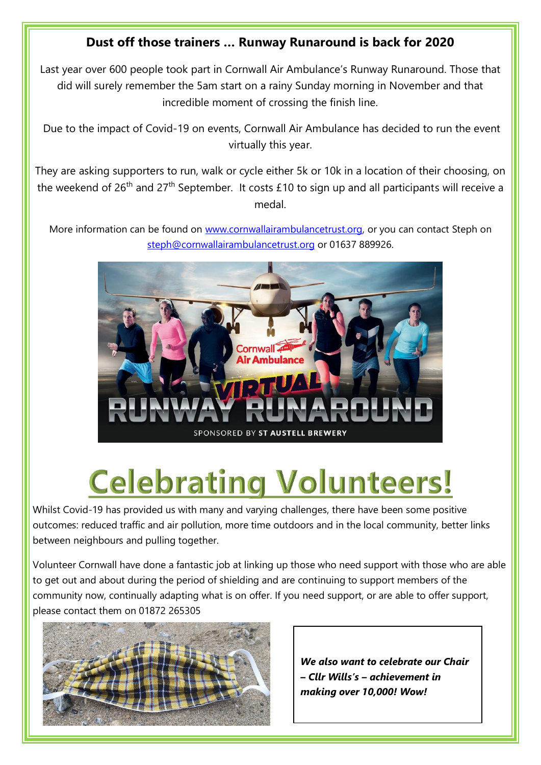### **Dust off those trainers … Runway Runaround is back for 2020**

Last year over 600 people took part in Cornwall Air Ambulance's Runway Runaround. Those that did will surely remember the 5am start on a rainy Sunday morning in November and that incredible moment of crossing the finish line.

Due to the impact of Covid-19 on events, Cornwall Air Ambulance has decided to run the event virtually this year.

They are asking supporters to run, walk or cycle either 5k or 10k in a location of their choosing, on the weekend of 26<sup>th</sup> and 27<sup>th</sup> September. It costs £10 to sign up and all participants will receive a medal.

More information can be found on [www.cornwallairambulancetrust.org,](http://www.cornwallairambulancetrust.org/) or you can contact Steph on [steph@cornwallairambulancetrust.org](mailto:steph@cornwallairambulancetrust.org) or 01637 889926.



# **Celebrating Volunteers!**

Whilst Covid-19 has provided us with many and varying challenges, there have been some positive outcomes: reduced traffic and air pollution, more time outdoors and in the local community, better links between neighbours and pulling together.

Volunteer Cornwall have done a fantastic job at linking up those who need support with those who are able to get out and about during the period of shielding and are continuing to support members of the community now, continually adapting what is on offer. If you need support, or are able to offer support, please contact them on 01872 265305



*We also want to celebrate our Chair – Cllr Wills's – achievement in making over 10,000! Wow!*